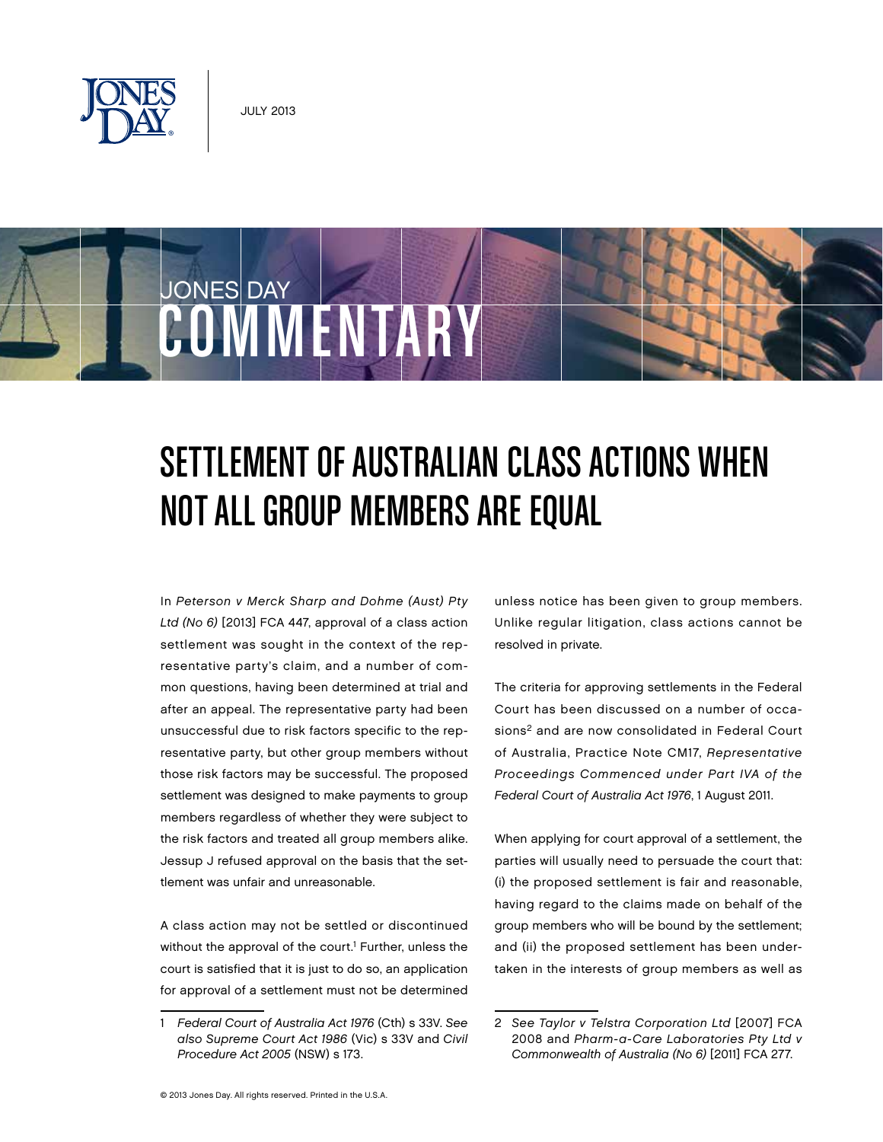

**COMMENTARY** 

JONES DAY

# Settlement of Australian Class Actions When Not All Group Members are Equal

In Peterson v Merck Sharp and Dohme (Aust) Pty Ltd (No 6) [2013] FCA 447, approval of a class action settlement was sought in the context of the representative party's claim, and a number of common questions, having been determined at trial and after an appeal. The representative party had been unsuccessful due to risk factors specific to the representative party, but other group members without those risk factors may be successful. The proposed settlement was designed to make payments to group members regardless of whether they were subject to the risk factors and treated all group members alike. Jessup J refused approval on the basis that the settlement was unfair and unreasonable.

A class action may not be settled or discontinued without the approval of the court.<sup>1</sup> Further, unless the court is satisfied that it is just to do so, an application for approval of a settlement must not be determined

unless notice has been given to group members. Unlike regular litigation, class actions cannot be resolved in private.

The criteria for approving settlements in the Federal Court has been discussed on a number of occasions<sup>2</sup> and are now consolidated in Federal Court of Australia, Practice Note CM17, Representative Proceedings Commenced under Part IVA of the Federal Court of Australia Act 1976, 1 August 2011.

When applying for court approval of a settlement, the parties will usually need to persuade the court that: (i) the proposed settlement is fair and reasonable, having regard to the claims made on behalf of the group members who will be bound by the settlement; and (ii) the proposed settlement has been undertaken in the interests of group members as well as

<sup>1</sup> Federal Court of Australia Act 1976 (Cth) s 33V. See also Supreme Court Act 1986 (Vic) s 33V and Civil Procedure Act 2005 (NSW) s 173.

<sup>2</sup> See Taylor v Telstra Corporation Ltd [2007] FCA 2008 and Pharm-a-Care Laboratories Pty Ltd v Commonwealth of Australia (No 6) [2011] FCA 277.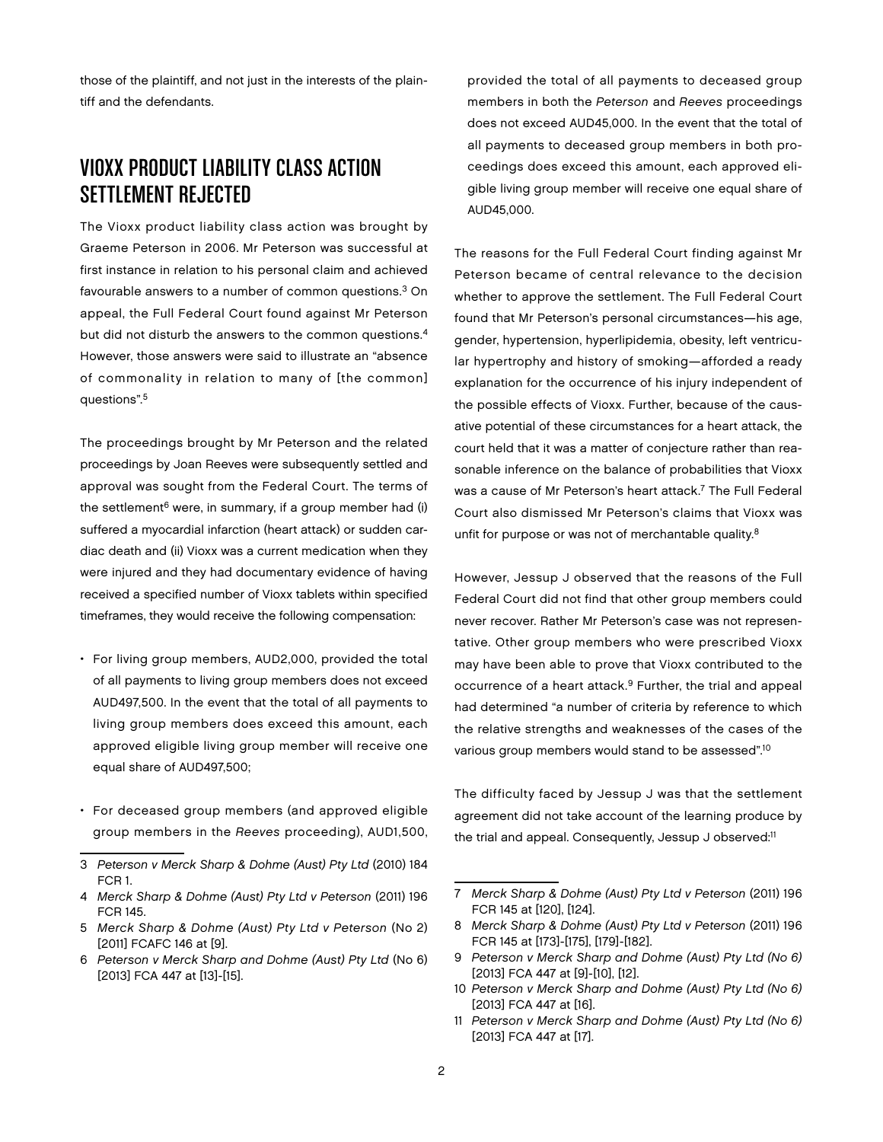those of the plaintiff, and not just in the interests of the plaintiff and the defendants.

## Vioxx Product Liability Class Action Settlement Rejected

The Vioxx product liability class action was brought by Graeme Peterson in 2006. Mr Peterson was successful at first instance in relation to his personal claim and achieved favourable answers to a number of common questions.3 On appeal, the Full Federal Court found against Mr Peterson but did not disturb the answers to the common questions.4 However, those answers were said to illustrate an "absence of commonality in relation to many of [the common] questions".5

The proceedings brought by Mr Peterson and the related proceedings by Joan Reeves were subsequently settled and approval was sought from the Federal Court. The terms of the settlement $6$  were, in summary, if a group member had (i) suffered a myocardial infarction (heart attack) or sudden cardiac death and (ii) Vioxx was a current medication when they were injured and they had documentary evidence of having received a specified number of Vioxx tablets within specified timeframes, they would receive the following compensation:

- For living group members, AUD2,000, provided the total of all payments to living group members does not exceed AUD497,500. In the event that the total of all payments to living group members does exceed this amount, each approved eligible living group member will receive one equal share of AUD497,500;
- For deceased group members (and approved eligible group members in the Reeves proceeding), AUD1,500,

provided the total of all payments to deceased group members in both the Peterson and Reeves proceedings does not exceed AUD45,000. In the event that the total of all payments to deceased group members in both proceedings does exceed this amount, each approved eligible living group member will receive one equal share of AUD45,000.

The reasons for the Full Federal Court finding against Mr Peterson became of central relevance to the decision whether to approve the settlement. The Full Federal Court found that Mr Peterson's personal circumstances—his age, gender, hypertension, hyperlipidemia, obesity, left ventricular hypertrophy and history of smoking—afforded a ready explanation for the occurrence of his injury independent of the possible effects of Vioxx. Further, because of the causative potential of these circumstances for a heart attack, the court held that it was a matter of conjecture rather than reasonable inference on the balance of probabilities that Vioxx was a cause of Mr Peterson's heart attack.<sup>7</sup> The Full Federal Court also dismissed Mr Peterson's claims that Vioxx was unfit for purpose or was not of merchantable quality.<sup>8</sup>

However, Jessup J observed that the reasons of the Full Federal Court did not find that other group members could never recover. Rather Mr Peterson's case was not representative. Other group members who were prescribed Vioxx may have been able to prove that Vioxx contributed to the occurrence of a heart attack.9 Further, the trial and appeal had determined "a number of criteria by reference to which the relative strengths and weaknesses of the cases of the various group members would stand to be assessed".10

The difficulty faced by Jessup J was that the settlement agreement did not take account of the learning produce by the trial and appeal. Consequently, Jessup J observed:<sup>11</sup>

<sup>3</sup> Peterson v Merck Sharp & Dohme (Aust) Pty Ltd (2010) 184 FCR 1.

<sup>4</sup> Merck Sharp & Dohme (Aust) Pty Ltd v Peterson (2011) 196 FCR 145.

<sup>5</sup> Merck Sharp & Dohme (Aust) Pty Ltd v Peterson (No 2) [2011] FCAFC 146 at [9].

<sup>6</sup> Peterson v Merck Sharp and Dohme (Aust) Pty Ltd (No 6) [2013] FCA 447 at [13]-[15].

<sup>7</sup> Merck Sharp & Dohme (Aust) Pty Ltd v Peterson (2011) 196 FCR 145 at [120], [124].

<sup>8</sup> Merck Sharp & Dohme (Aust) Pty Ltd v Peterson (2011) 196 FCR 145 at [173]-[175], [179]-[182].

<sup>9</sup> Peterson v Merck Sharp and Dohme (Aust) Pty Ltd (No 6) [2013] FCA 447 at [9]-[10], [12].

<sup>10</sup> Peterson v Merck Sharp and Dohme (Aust) Pty Ltd (No 6) [2013] FCA 447 at [16].

<sup>11</sup> Peterson v Merck Sharp and Dohme (Aust) Pty Ltd (No 6) [2013] FCA 447 at [17].